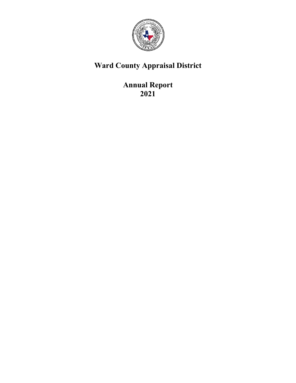

# **Ward County Appraisal District**

**Annual Report 2021**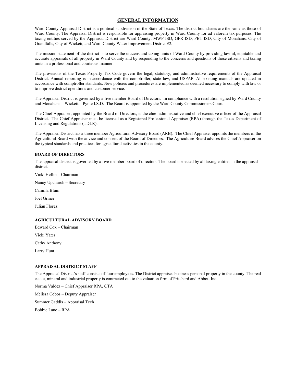#### **GENERAL INFORMATION**

Ward County Appraisal District is a political subdivision of the State of Texas. The district boundaries are the same as those of Ward County. The Appraisal District is responsible for appraising property in Ward County for ad valorem tax purposes. The taxing entities served by the Appraisal District are Ward County, MWP ISD, GFR ISD, PBT ISD, City of Monahans, City of Grandfalls, City of Wickett, and Ward County Water Improvement District #2.

The mission statement of the district is to serve the citizens and taxing units of Ward County by providing lawful, equitable and accurate appraisals of all property in Ward County and by responding to the concerns and questions of those citizens and taxing units in a professional and courteous manner.

The provisions of the Texas Property Tax Code govern the legal, statutory, and administrative requirements of the Appraisal District. Annual reporting is in accordance with the comptroller, state law, and USPAP. All existing manuals are updated in accordance with comptroller standards. New policies and procedures are implemented as deemed necessary to comply with law or to improve district operations and customer service.

The Appraisal District is governed by a five member Board of Directors. In compliance with a resolution signed by Ward County and Monahans – Wickett – Pyote I.S.D. The Board is appointed by the Ward County Commissioners Court.

The Chief Appraiser, appointed by the Board of Directors, is the chief administrative and chief executive officer of the Appraisal District. The Chief Appraiser must be licensed as a Registered Professional Appraiser (RPA) through the Texas Department of Licensing and Regulations (TDLR).

The Appraisal District has a three member Agricultural Advisory Board (ARB). The Chief Appraiser appoints the members of the Agricultural Board with the advice and consent of the Board of Directors. The Agriculture Board advises the Chief Appraiser on the typical standards and practices for agricultural activities in the county.

#### **BOARD OF DIRECTORS**

The appraisal district is governed by a five member board of directors. The board is elected by all taxing entities in the appraisal district.

Vicki Heflin – Chairman

Nancy Upchurch – Secretary

Camilla Blum

Joel Griner

Julian Florez

#### **AGRICULTURAL ADVISORY BOARD**

Edward Cox – Chairman

Vicki Yates

Cathy Anthony

Larry Hunt

#### **APPRAISAL DISTRICT STAFF**

The Appraisal District's staff consists of four employees. The District appraises business personal property in the county. The real estate, mineral and industrial property is contracted out to the valuation firm of Pritchard and Abbott Inc.

Norma Valdez – Chief Appraiser RPA, CTA

Melissa Cobos – Deputy Appraiser

Summer Gaddis – Appraisal Tech

Bobbie Lane – RPA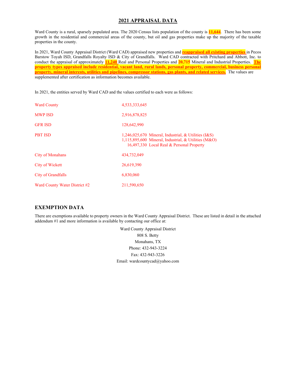## **2021 APPRAISAL DATA**

Ward County is a rural, sparsely populated area. The 2020 Census lists population of the county is **11,644**. There has been some growth in the residential and commercial areas of the county, but oil and gas properties make up the majority of the taxable properties in the county.

In 2021, Ward County Appraisal District (Ward CAD) appraised new properties and **reappraised all existing properties** in Pecos Barstow Toyah ISD, Grandfalls Royalty ISD & City of Grandfalls. Ward CAD contracted with Pritchard and Abbott, Inc. to conduct the appraisal of approximately **11,240** Real and Personal Properties and **20,715** Mineral and Industrial Properties. **The property types appraised include residential, vacant land, rural lands, personal property, commercial, business personal property, mineral interests, utilities and pipelines, compressor stations, gas plants, and related services.** The values are supplemented after certification as information becomes available.

In 2021, the entities served by Ward CAD and the values certified to each were as follows:

| <b>Ward County</b>            | 4,533,333,645                                                                                                                                                   |
|-------------------------------|-----------------------------------------------------------------------------------------------------------------------------------------------------------------|
| <b>MWP ISD</b>                | 2,916,878,825                                                                                                                                                   |
| <b>GFR ISD</b>                | 128,642,990                                                                                                                                                     |
| <b>PBT ISD</b>                | 1,246,025,670 Mineral, Industrial, & Utilities $(I & S)$<br>$1,115,895,600$ Mineral, Industrial, & Utilities (M&O)<br>16,497,330 Local Real & Personal Property |
| <b>City of Monahans</b>       | 434,732,049                                                                                                                                                     |
| City of Wickett               | 26,619,390                                                                                                                                                      |
| <b>City of Grandfalls</b>     | 6,830,060                                                                                                                                                       |
| Ward County Water District #2 | 211,590,650                                                                                                                                                     |

# **EXEMPTION DATA**

There are exemptions available to property owners in the Ward County Appraisal District. These are listed in detail in the attached addendum #1 and more information is available by contacting our office at:

> Ward County Appraisal District 808 S. Betty Monahans, TX Phone: 432-943-3224 Fax: 432-943-3226 Email: wardcountycad@yahoo.com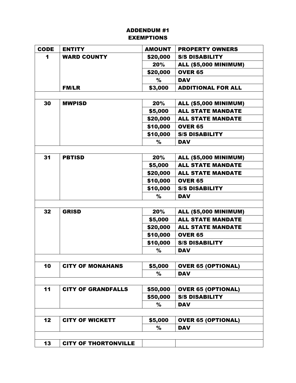# ADDENDUM #1 EXEMPTIONS

| <b>CODE</b> | <b>ENTITY</b>               | <b>AMOUNT</b> | <b>PROPERTY OWNERS</b>       |  |
|-------------|-----------------------------|---------------|------------------------------|--|
| 1           | <b>WARD COUNTY</b>          | \$20,000      | <b>S/S DISABILITY</b>        |  |
|             |                             | 20%           | <b>ALL (\$5,000 MINIMUM)</b> |  |
|             |                             | \$20,000      | <b>OVER 65</b>               |  |
|             |                             | %             | <b>DAV</b>                   |  |
|             | <b>FM/LR</b>                | \$3,000       | <b>ADDITIONAL FOR ALL</b>    |  |
|             |                             |               |                              |  |
| 30          | <b>MWPISD</b>               | 20%           | <b>ALL (\$5,000 MINIMUM)</b> |  |
|             |                             | \$5,000       | <b>ALL STATE MANDATE</b>     |  |
|             |                             | \$20,000      | <b>ALL STATE MANDATE</b>     |  |
|             |                             | \$10,000      | <b>OVER 65</b>               |  |
|             |                             | \$10,000      | <b>S/S DISABILITY</b>        |  |
|             |                             | %             | <b>DAV</b>                   |  |
|             |                             |               |                              |  |
| 31          | <b>PBTISD</b>               | 20%           | <b>ALL (\$5,000 MINIMUM)</b> |  |
|             |                             | \$5,000       | <b>ALL STATE MANDATE</b>     |  |
|             |                             | \$20,000      | <b>ALL STATE MANDATE</b>     |  |
|             |                             | \$10,000      | <b>OVER 65</b>               |  |
|             |                             | \$10,000      | <b>S/S DISABILITY</b>        |  |
|             |                             | $\%$          | <b>DAV</b>                   |  |
|             |                             |               |                              |  |
| 32          | <b>GRISD</b>                | 20%           | <b>ALL (\$5,000 MINIMUM)</b> |  |
|             |                             | \$5,000       | <b>ALL STATE MANDATE</b>     |  |
|             |                             | \$20,000      | <b>ALL STATE MANDATE</b>     |  |
|             |                             | \$10,000      | <b>OVER 65</b>               |  |
|             |                             | \$10,000      | <b>S/S DISABILITY</b>        |  |
|             |                             | %             | <b>DAV</b>                   |  |
|             |                             |               |                              |  |
| 10          | <b>CITY OF MONAHANS</b>     | \$5,000       | <b>OVER 65 (OPTIONAL)</b>    |  |
|             |                             | $\%$          | <b>DAV</b>                   |  |
|             |                             |               |                              |  |
| 11          | <b>CITY OF GRANDFALLS</b>   | \$50,000      | <b>OVER 65 (OPTIONAL)</b>    |  |
|             |                             | \$50,000      | <b>S/S DISABILITY</b>        |  |
|             |                             | $\%$          | <b>DAV</b>                   |  |
|             |                             |               |                              |  |
| 12          | <b>CITY OF WICKETT</b>      | \$5,000       | <b>OVER 65 (OPTIONAL)</b>    |  |
|             |                             | %             | <b>DAV</b>                   |  |
|             |                             |               |                              |  |
| 13          | <b>CITY OF THORTONVILLE</b> |               |                              |  |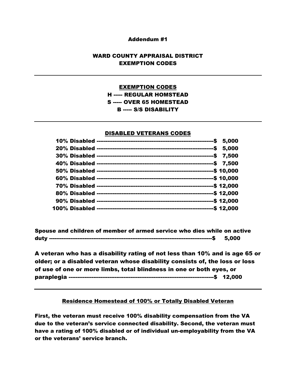### Addendum #1

# WARD COUNTY APPRAISAL DISTRICT EXEMPTION CODES

# EXEMPTION CODES H ----- REGULAR HOMSTEAD S ----- OVER 65 HOMESTEAD B ----- S/S DISABILITY

### DISABLED VETERANS CODES

Spouse and children of member of armed service who dies while on active duty --------------------------------------------------------------------------------------------\$ 5,000

A veteran who has a disability rating of not less than 10% and is age 65 or older; or a disabled veteran whose disability consists of, the loss or loss of use of one or more limbs, total blindness in one or both eyes, or paraplegia ----------------------------------------------------------------------------------\$ 12,000

# Residence Homestead of 100% or Totally Disabled Veteran

First, the veteran must receive 100% disability compensation from the VA due to the veteran's service connected disability. Second, the veteran must have a rating of 100% disabled or of individual un-employability from the VA or the veterans' service branch.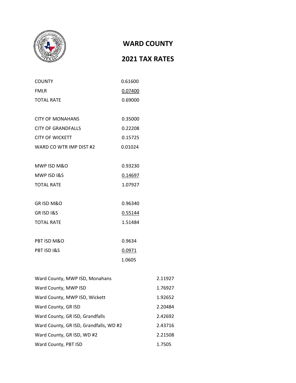

# **WARD COUNTY**

# **2021 TAX RATES**

| <b>COUNTY</b>             | 0.61600 |
|---------------------------|---------|
| <b>FMLR</b>               | 0.07400 |
| <b>TOTAL RATE</b>         | 0.69000 |
|                           |         |
| <b>CITY OF MONAHANS</b>   | 0.35000 |
| <b>CITY OF GRANDFALLS</b> | 0.22208 |
| <b>CITY OF WICKETT</b>    | 0.15725 |
| WARD CO WTR IMP DIST #2   | 0.01024 |
|                           |         |
| MWP ISD M&O               | 0.93230 |
| MWP ISD I&S               | 0.14697 |
| <b>TOTAL RATE</b>         | 1.07927 |
|                           |         |
| <b>GRISD M&amp;O</b>      | 0.96340 |
| <b>GRISDI&amp;S</b>       | 0.55144 |
| <b>TOTAL RATE</b>         | 1.51484 |
|                           |         |
| PBT ISD M&O               | 0.9634  |
| PBT ISD I&S               | 0.0971  |
|                           | 1.0605  |
|                           |         |

| Ward County, MWP ISD, Monahans         | 2.11927 |
|----------------------------------------|---------|
| Ward County, MWP ISD                   | 1.76927 |
| Ward County, MWP ISD, Wickett          | 1.92652 |
| Ward County, GR ISD                    | 2.20484 |
| Ward County, GR ISD, Grandfalls        | 2.42692 |
| Ward County, GR ISD, Grandfalls, WD #2 | 2.43716 |
| Ward County, GR ISD, WD #2             | 2.21508 |
| Ward County, PBT ISD                   | 1.7505  |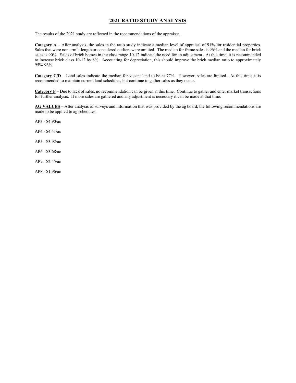# **2021 RATIO STUDY ANALYSIS**

The results of the 2021 study are reflected in the recommendations of the appraiser.

**Category A** – After analysis, the sales in the ratio study indicate a median level of appraisal of 91% for residential properties. Sales that were non arm's-length or considered outliers were omitted. The median for frame sales is 96% and the median for brick sales is 90%. Sales of brick homes in the class range 10-12 indicate the need for an adjustment. At this time, it is recommended to increase brick class 10-12 by 8%. Accounting for depreciation, this should improve the brick median ratio to approximately 95%-96%.

**Category C/D** – Land sales indicate the median for vacant land to be at 77%. However, sales are limited. At this time, it is recommended to maintain current land schedules, but continue to gather sales as they occur.

**Category F** – Due to lack of sales, no recommendation can be given at this time. Continue to gather and enter market transactions for further analysis. If more sales are gathered and any adjustment is necessary it can be made at that time.

**AG VALUES** – After analysis of surveys and information that was provided by the ag board, the following recommendations are made to be applied to ag schedules.

AP3 - \$4.90/ac

AP4 - \$4.41/ac

AP5 - \$3.92/ac

AP6 - \$3.68/ac

AP7 - \$2.45/ac

AP8 - \$1.96/ac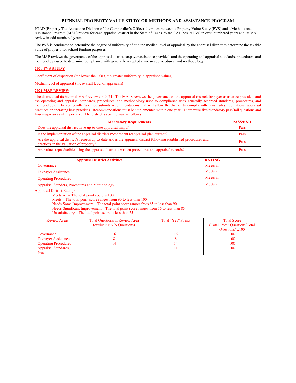#### **BIENNIAL PROPERTY VALUE STUDY OR METHODS AND ASSISTANCE PROGRAM**

PTAD (Property Tax Assistance Division of the Comptroller's Office) alternates between a Property Value Study (PVS) and a Methods and Assistance Program (MAP) review for each appraisal district in the State of Texas. Ward CAD has its PVS in even numbered years and its MAP review in odd numbered years.

The PVS is conducted to determine the degree of uniformity of and the median level of appraisal by the appraisal district to determine the taxable value of property for school funding purposes.

The MAP reviews the governance of the appraisal district, taxpayer assistance provided, and the operating and appraisal standards, procedures, and methodology used to determine compliance with generally accepted standards, procedures, and methodology.

#### **2020 PVS STUDY**

Coefficient of dispersion (the lower the COD, the greater uniformity in appraised values)

Median level of appraisal (the overall level of appraisals)

#### **2021 MAP REVIEW**

The district had its biennial MAP reviews in 2021. The MAPS reviews the governance of the appraisal district, taxpayer assistance provided, and the operating and appraisal standards, procedures, and methodology used to compliance with generally accepted standards, procedures, and methodology. The comptroller's office submits recommendations that will allow the district to comply with laws, rules, regulations, appraisal practices or operating best practices. Recommendations must be implemented within one year. There were five mandatory pass/fail questions and four major areas of importance The district's scoring was as follows:

| <b>Mandatory Requirements</b>                                                                                                                                 | <b>PASS/FAIL</b> |
|---------------------------------------------------------------------------------------------------------------------------------------------------------------|------------------|
| Does the appraisal district have up-to-date appraisal maps?                                                                                                   | Pass             |
| Is the implementation of the appraisal districts most recent reappraisal plan current?                                                                        | Pass             |
| Are the appraisal district's records up-to-date and is the appraisal district following established procedures and<br>practices in the valuation of property? | Pass             |
| Are values reproducible using the appraisal district's written procedures and appraisal records?                                                              | Pass             |

| <b>Appraisal District Activities</b>           | <b>RATING</b> |
|------------------------------------------------|---------------|
| Governance                                     | Meets all     |
| <b>Taxpayer Assistance</b>                     | Meets all     |
| <b>Operating Procedures</b>                    | Meets all     |
| Appraisal Standers, Procedures and Methodology | Meets all     |

Appraisal District Ratings:

Meets All – The total point score is 100

Meets – The total point score ranges from 90 to less than 100

Needs Some Improvement – The total point score ranges from 85 to less than 90

Needs Significant Improvement – The total point score ranges from 75 to less than 85

Unsatisfactory – The total point score is less than 75

| <b>Review Areas</b>         | <b>Total Questions in Review Area</b><br>(excluding N/A Questions) | Total "Yes" Points | <b>Total Score</b><br>(Total "Yes" Questions/Total<br>Questions) $x100$ |
|-----------------------------|--------------------------------------------------------------------|--------------------|-------------------------------------------------------------------------|
| Governance                  | o                                                                  |                    | 100                                                                     |
| <b>Taxpayer Assistance</b>  |                                                                    |                    | 100                                                                     |
| <b>Operating Procedures</b> |                                                                    |                    | 100                                                                     |
| <b>Appraisal Standards,</b> |                                                                    |                    | 100                                                                     |
| Proc                        |                                                                    |                    |                                                                         |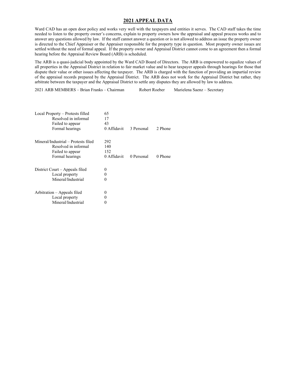#### **2021 APPEAL DATA**

Ward CAD has an open door policy and works very well with the taxpayers and entities it serves. The CAD staff takes the time needed to listen to the property owner's concerns, explain to property owners how the appraisal and appeal process works and to answer any questions allowed by law. If the staff cannot answer a question or is not allowed to address an issue the property owner is directed to the Chief Appraiser or the Appraiser responsible for the property type in question. Most property owner issues are settled without the need of formal appeal. If the property owner and Appraisal District cannot come to an agreement then a formal hearing before the Appraisal Review Board (ARB) is scheduled.

The ARB is a quasi-judicial body appointed by the Ward CAD Board of Directors. The ARB is empowered to equalize values of all properties in the Appraisal District in relation to fair market value and to hear taxpayer appeals through hearings for those that dispute their value or other issues affecting the taxpayer. The ARB is charged with the function of providing an impartial review of the appraisal records prepared by the Appraisal District. The ARB does not work for the Appraisal District but rather, they arbitrate between the taxpayer and the Appraisal District to settle any disputes they are allowed by law to address.

2021 ARB MEMBERS – Brian Franks – Chairman Robert Roeber Marielena Saenz – Secretary

| Local Property – Protests filled<br>Resolved in informal<br>Failed to appear<br>Formal hearings    | 65<br>17<br>43<br>0 Affidavit    | 3 Personal | 2 Phone |
|----------------------------------------------------------------------------------------------------|----------------------------------|------------|---------|
| Mineral/Industrial – Protests filed<br>Resolved in informal<br>Failed to appear<br>Formal hearings | 292<br>140<br>152<br>0 Affidavit | 0 Personal | 0 Phone |
| District Court – Appeals filed<br>Local property<br>Mineral/Industrial                             | 0<br>0<br>0                      |            |         |
| Arbitration – Appeals filed<br>Local property<br>Mineral/Industrial                                | 0                                |            |         |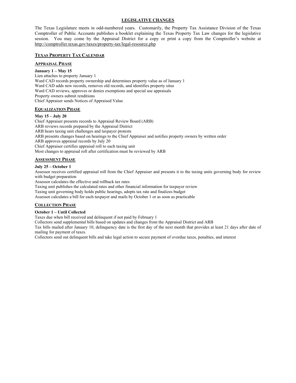#### **LEGISLATIVE CHANGES**

The Texas Legislature meets in odd-numbered years. Customarily, the Property Tax Assistance Division of the Texas Comptroller of Public Accounts publishes a booklet explaining the Texas Property Tax Law changes for the legislative session. You may come by the Appraisal District for a copy or print a copy from the Comptroller's website at http://comptroller.texas.gov/taxes/property-tax/legal-resource.php

#### **TEXAS PROPERTY TAX CALENDAR**

#### **APPRAISAL PHASE**

**January 1 – May 15** Lien attaches to property January 1 Ward CAD records property ownership and determines property value as of January 1 Ward CAD adds new records, removes old records, and identifies property situs Ward CAD reviews, approves or denies exemptions and special use appraisals Property owners submit renditions Chief Appraiser sends Notices of Appraised Value

#### **EQUALIZATION PHASE**

#### **May 15 – July 20**

Chief Appraiser presents records to Appraisal Review Board (ARB) ARB reviews records prepared by the Appraisal District ARB hears taxing unit challenges and taxpayer protests ARB presents changes based on hearings to the Chief Appraiser and notifies property owners by written order ARB approves appraisal records by July 20 Chief Appraiser certifies appraisal roll to each taxing unit Most changes to appraisal roll after certification must be reviewed by ARB

#### **ASSESSMENT PHASE**

#### **July 25 – October 1**

Assessor receives certified appraisal roll from the Chief Appraiser and presents it to the taxing units governing body for review with budget preparation

Assessor calculates the effective and rollback tax rates

Taxing unit publishes the calculated rates and other financial information for taxpayer review

Taxing unit governing body holds public hearings, adopts tax rate and finalizes budget

Assessor calculates a bill for each taxpayer and mails by October 1 or as soon as practicable

#### **COLLECTION PHASE**

#### **October 1 – Until Collected**

Taxes due when bill received and delinquent if not paid by February 1

Collectors send supplemental bills based on updates and changes from the Appraisal District and ARB

Tax bills mailed after January 10, delinquency date is the first day of the next month that provides at least 21 days after date of mailing for payment of taxes.

Collectors send out delinquent bills and take legal action to secure payment of overdue taxes, penalties, and interest